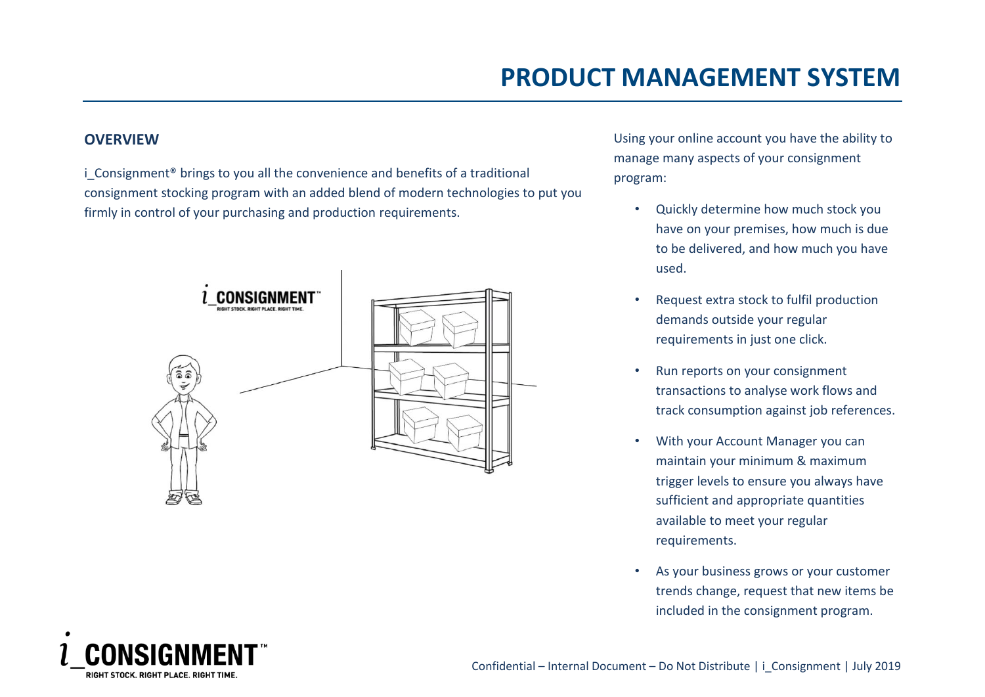### **OVERVIEW**

i Consignment<sup>®</sup> brings to you all the convenience and benefits of a traditional consignment stocking program with an added blend of modern technologies to put you firmly in control of your purchasing and production requirements.



Using your online account you have the ability to manage many aspects of your consignment program:

- Quickly determine how much stock you have on your premises, how much is due to be delivered, and how much you have used.
- Request extra stock to fulfil production demands outside your regular requirements in just one click.
- Run reports on your consignment transactions to analyse work flows and track consumption against job references.
- With your Account Manager you can maintain your minimum & maximum trigger levels to ensure you always have sufficient and appropriate quantities available to meet your regular requirements.
- As your business grows or your customer trends change, request that new items be included in the consignment program.

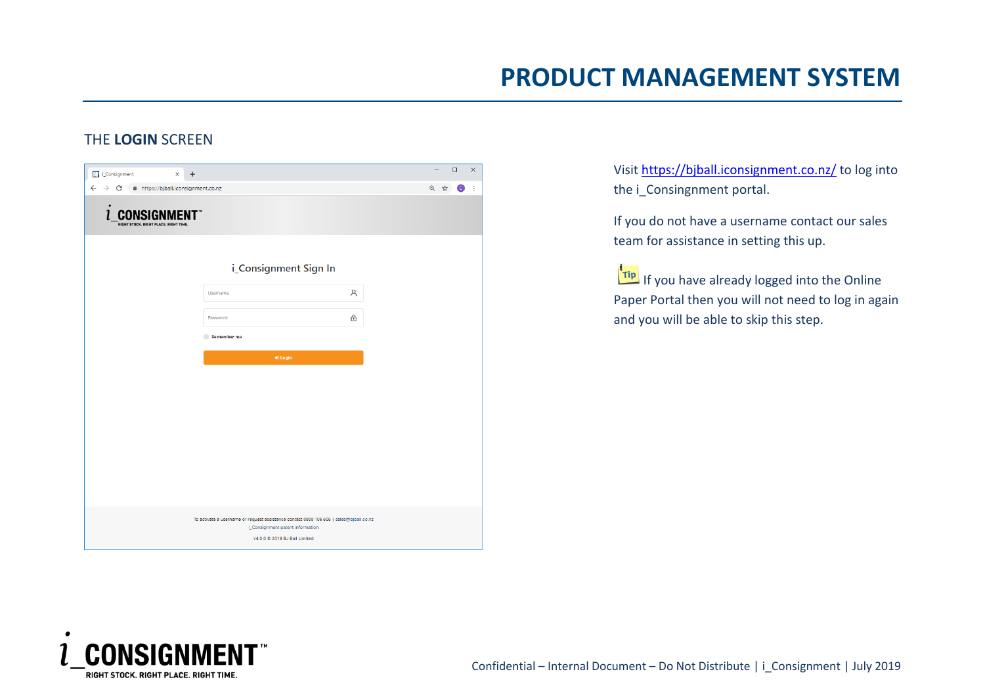### THE **LOGIN** SCREEN

| A https://bjball.iconsignment.co.nz<br>$\leftarrow$<br>$\rightarrow$ C<br>$\bullet$<br><b>INSIGNMENT</b> "<br>CO.<br>RIGHT STOCK. RIGHT PLACE. RIGHT TIME. |                                                                                                                                                             | Q ☆<br>$\bullet$ |
|------------------------------------------------------------------------------------------------------------------------------------------------------------|-------------------------------------------------------------------------------------------------------------------------------------------------------------|------------------|
|                                                                                                                                                            |                                                                                                                                                             |                  |
|                                                                                                                                                            |                                                                                                                                                             |                  |
|                                                                                                                                                            | i_Consignment Sign In                                                                                                                                       |                  |
| Username                                                                                                                                                   | Α                                                                                                                                                           |                  |
| Password                                                                                                                                                   | ⊕                                                                                                                                                           |                  |
| Remember me                                                                                                                                                |                                                                                                                                                             |                  |
|                                                                                                                                                            | <b>●</b> Login                                                                                                                                              |                  |
|                                                                                                                                                            |                                                                                                                                                             |                  |
|                                                                                                                                                            |                                                                                                                                                             |                  |
|                                                                                                                                                            |                                                                                                                                                             |                  |
|                                                                                                                                                            |                                                                                                                                                             |                  |
|                                                                                                                                                            |                                                                                                                                                             |                  |
|                                                                                                                                                            | To activate a username or request assistance contact 0800 106 606   sales@bjball.co.nz<br>i_Consignment patent information<br>v4.0.0 @ 2019 BJ Ball Limited |                  |

Visit<https://bjball.iconsignment.co.nz/> to log into the *i* Consingnment portal.

If you do not have a username contact our sales team for assistance in setting this up.

**Tip** If you have already logged into the Online Paper Portal then you will not need to log in again and you will be able to skip this step.

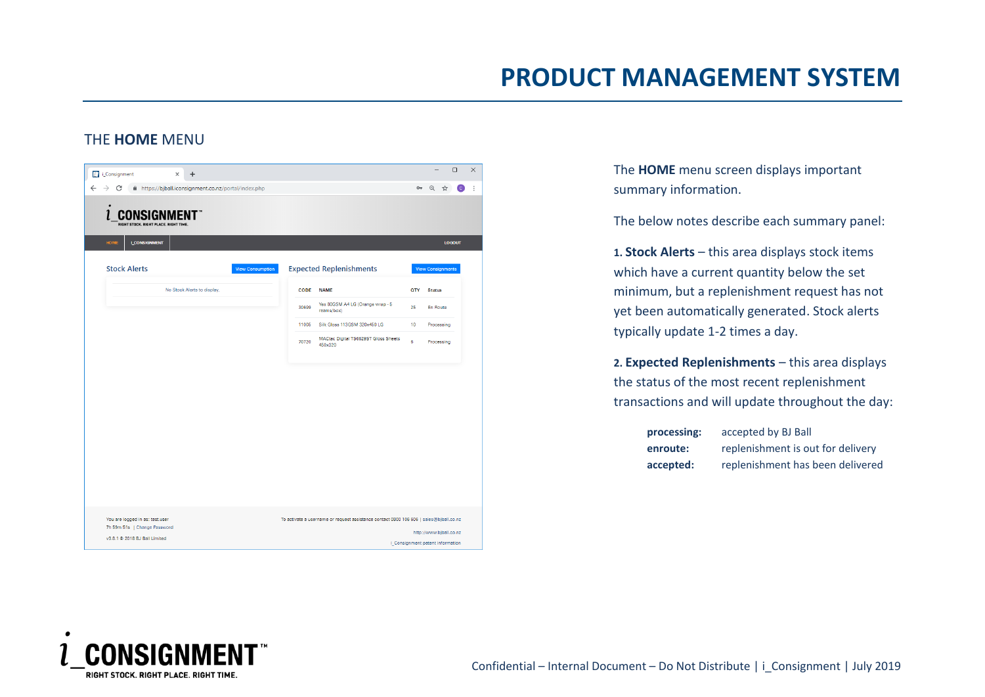### THE **HOME** MENU

| <b>D</b> i_Consignment<br>$\ddot{}$<br>$\times$                                                                                                 |                         |       |                                                                                        |     | $\Box$                   |     |
|-------------------------------------------------------------------------------------------------------------------------------------------------|-------------------------|-------|----------------------------------------------------------------------------------------|-----|--------------------------|-----|
| https://bjball.iconsignment.co.nz/portal/index.php<br>$\rightarrow$<br>С<br><b>INSIGNMENT</b> "<br>CO.<br>RIGHT STOCK, RIGHT PLACE, RIGHT TIME. |                         |       |                                                                                        |     | 07 Q ☆                   | [C] |
| <b>HOME</b><br><b>I CONSIGNMENT</b>                                                                                                             |                         |       |                                                                                        |     | <b>LOGOUT</b>            |     |
| <b>Stock Alerts</b>                                                                                                                             | <b>View Consumption</b> |       | <b>Expected Replenishments</b>                                                         |     | <b>View Consignments</b> |     |
| No Stock Alerts to display.                                                                                                                     |                         | CODE  | <b>NAME</b>                                                                            | QTY | <b>Status</b>            |     |
|                                                                                                                                                 |                         | 30699 | Yes 80GSM A4 LG (Orange wrap - 5<br>reams/box)                                         | 25  | En Route                 |     |
|                                                                                                                                                 |                         | 11005 | Silk Gloss 113GSM 320x450 LG                                                           | 10  | Processing               |     |
|                                                                                                                                                 |                         | 70720 | MACtac Digital TS6629ST Gloss Sheets<br>450x320                                        | 6   | Processing               |     |
|                                                                                                                                                 |                         |       |                                                                                        |     |                          |     |
|                                                                                                                                                 |                         |       |                                                                                        |     |                          |     |
|                                                                                                                                                 |                         |       |                                                                                        |     |                          |     |
|                                                                                                                                                 |                         |       |                                                                                        |     |                          |     |
|                                                                                                                                                 |                         |       |                                                                                        |     |                          |     |
|                                                                                                                                                 |                         |       |                                                                                        |     |                          |     |
|                                                                                                                                                 |                         |       |                                                                                        |     |                          |     |
|                                                                                                                                                 |                         |       |                                                                                        |     |                          |     |
| You are logged in as: test.user<br>7h 59m 51s   Change Password                                                                                 |                         |       | To activate a username or request assistance contact 0800 106 606   sales@bjball.co.nz |     |                          |     |

The **HOME** menu screen displays important summary information.

The below notes describe each summary panel:

**1. Stock Alerts** – this area displays stock items which have a current quantity below the set minimum, but a replenishment request has not yet been automatically generated. Stock alerts typically update 1-2 times a day.

**2. Expected Replenishments** – this area displays the status of the most recent replenishment transactions and will update throughout the day:

| processing: | accepted by BJ Ball               |
|-------------|-----------------------------------|
| enroute:    | replenishment is out for delivery |
| accepted:   | replenishment has been delivered  |

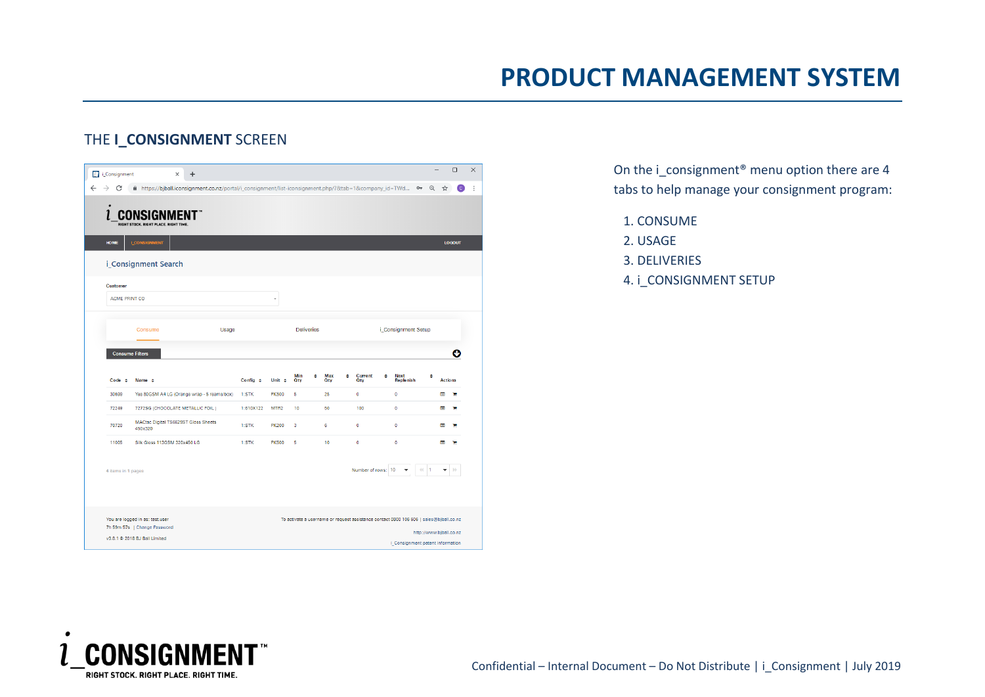## THE **I\_CONSIGNMENT** SCREEN

| <b>T</b> i_Consignment           | $^{+}$<br>×                                                                                               |       |               |                  |                   |                 |                                                                                        |   |                     |   |                | $\Box$         |
|----------------------------------|-----------------------------------------------------------------------------------------------------------|-------|---------------|------------------|-------------------|-----------------|----------------------------------------------------------------------------------------|---|---------------------|---|----------------|----------------|
| C<br>$\rightarrow$               | filmttps://bjball.iconsignment.co.nz/portal/i_consignment/list-iconsignment.php/?&tab=1&company_id=TWd Or |       |               |                  |                   |                 |                                                                                        |   |                     | Q | ☆              | $\overline{c}$ |
| $\bullet$                        | RIGHT STOCK, RIGHT PLACE, RIGHT TIME.                                                                     |       |               |                  |                   |                 |                                                                                        |   |                     |   |                |                |
| <b>HOME</b>                      | <b>I_CONSIGNMENT</b>                                                                                      |       |               |                  |                   |                 |                                                                                        |   |                     |   |                | <b>LOGOUT</b>  |
|                                  | i_Consignment Search                                                                                      |       |               |                  |                   |                 |                                                                                        |   |                     |   |                |                |
| <b>Customer</b><br>ACME PRINT CO |                                                                                                           |       |               |                  |                   |                 |                                                                                        |   |                     |   |                |                |
|                                  |                                                                                                           |       |               |                  |                   |                 |                                                                                        |   |                     |   |                |                |
|                                  | Consume                                                                                                   | Usage |               |                  | <b>Deliveries</b> |                 |                                                                                        |   | i Consignment Setup |   |                |                |
|                                  |                                                                                                           |       |               |                  |                   |                 |                                                                                        |   |                     |   |                |                |
|                                  | <b>Consume Filters</b>                                                                                    |       |               |                  |                   |                 |                                                                                        |   |                     |   |                | O              |
| $Code \div$                      | Name $\div$                                                                                               |       | Config $\div$ | Unit $\div$      | Min<br>٥<br>Oty   | Max<br>٠<br>Oty | Current<br>Oty                                                                         | ٠ | Next<br>Replenish   | ٠ | <b>Actions</b> |                |
| 30699                            | Yes 80GSM A4 LG (Orange wrap - 5 reams/box)                                                               |       | 1:STK         | <b>PK500</b>     | 5                 | 25              | $\bullet$                                                                              |   | $\bullet$           |   | E              | с              |
| 72249                            | 7272SG (CHOCOLATE METALLIC FOIL)                                                                          |       | 1:610X122     | MTR <sub>2</sub> | 10                | 50              | 100                                                                                    |   | $\circ$             |   | н              | ъ              |
| 70720                            | MACtac Digital TS6629ST Gloss Sheets<br>450x320                                                           |       | 1:STK         | <b>PK200</b>     | 3                 | 6               | $\bullet$                                                                              |   | $\circ$             |   | Е              | ъ              |
| 11005                            | Silk Gloss 113GSM 320x450 LG                                                                              |       | 1:STK         | <b>PK500</b>     | 5                 | 10              | $\bullet$                                                                              |   | $\bullet$           |   | E              |                |
| 4 items in 1 pages               |                                                                                                           |       |               |                  |                   |                 | Number of rows: 10                                                                     |   |                     |   |                |                |
|                                  | You are logged in as: test.user<br>7h 59m 57s   Change Password                                           |       |               |                  |                   |                 | To activate a username or request assistance contact 0800 106 606   sales@bjball.co.nz |   |                     |   |                |                |

On the i\_consignment® menu option there are 4 tabs to help manage your consignment program:

1. CONSUME

- 2. USAGE
- 3. DELIVERIES
- 4. i\_CONSIGNMENT SETUP

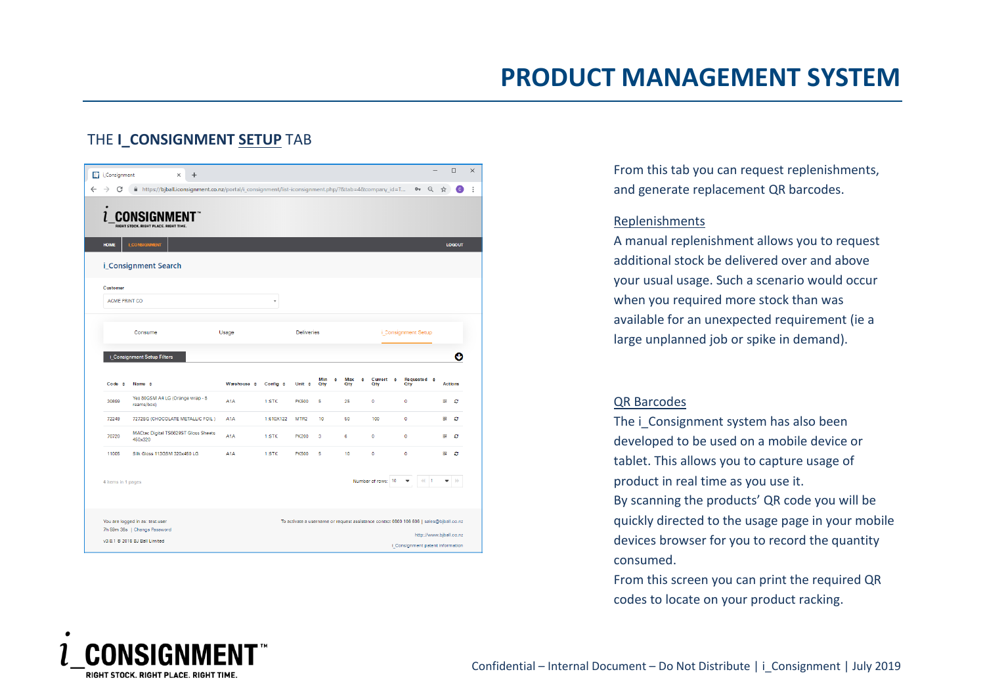## THE **I\_CONSIGNMENT SETUP** TAB

| C                  | filmttps://bjball.iconsignment.co.nz/portal/i_consignment/list-iconsignment.php/?&tab=4&company_id=T |                             |                          |                   |                 |                 |                              | $\mathsf{o}_\tau$              | Q<br>☆ | c              |
|--------------------|------------------------------------------------------------------------------------------------------|-----------------------------|--------------------------|-------------------|-----------------|-----------------|------------------------------|--------------------------------|--------|----------------|
|                    | RIGHT STOCK. RIGHT PLACE. RIGHT TIME                                                                 |                             |                          |                   |                 |                 |                              |                                |        |                |
| <b>HOME</b>        | <b>I_CONSIGNMENT</b>                                                                                 |                             |                          |                   |                 |                 |                              |                                |        | <b>LOGOUT</b>  |
|                    | i_Consignment Search                                                                                 |                             |                          |                   |                 |                 |                              |                                |        |                |
| <b>Customer</b>    |                                                                                                      |                             |                          |                   |                 |                 |                              |                                |        |                |
| ACME PRINT CO      |                                                                                                      |                             | $\overline{\phantom{a}}$ |                   |                 |                 |                              |                                |        |                |
|                    | Consume                                                                                              | Usage                       |                          | <b>Deliveries</b> |                 |                 |                              | i_Consignment Setup            |        |                |
|                    |                                                                                                      |                             |                          |                   |                 |                 |                              |                                |        |                |
|                    |                                                                                                      |                             |                          |                   |                 |                 |                              |                                |        |                |
|                    | i Consignment Setup Filters                                                                          |                             |                          |                   |                 |                 |                              |                                |        | O              |
| $Code \div$        | Name $\div$                                                                                          | Warehouse $\Leftrightarrow$ | Config $\div$            | Unit $\div$       | Min<br>٥<br>Oty | Max<br>٠<br>Qty | Current $\div$<br><b>Oty</b> | Requested $\div$<br><b>Oty</b> |        | <b>Actions</b> |
| 30699              | Yes 80GSM A4 LG (Orange wrap - 5<br>reams/box)                                                       | A1A                         | 1:STK                    | <b>PK500</b>      | 5               | 25              | 0                            | o                              | 盟      | c              |
| 72249              | 7272SG (CHOCOLATE METALLIC FOIL)                                                                     | A <sub>1</sub> A            | 1:610X122                | MTR <sub>2</sub>  | 10              | 50              | 100                          | 0                              | 엻      | c              |
| 70720              | MACtac Digital TS6629ST Gloss Sheets<br>450x320                                                      | A <sub>1</sub> A            | 1:STK                    | <b>PK200</b>      | 3               | 6               | $\bullet$                    | $\bullet$                      | 엻      | c              |
| 11005              | Silk Gloss 113GSM 320x450 LG                                                                         | A1A                         | 1:STK                    | <b>PK500</b>      | 5               | 10              | $\mathbf{0}$                 | o                              | 盟      | ø              |
| 4 items in 1 pages |                                                                                                      |                             |                          |                   |                 |                 | Number of rows: 10           | 41                             |        |                |

From this tab you can request replenishments, and generate replacement QR barcodes.

#### Replenishments

A manual replenishment allows you to request additional stock be delivered over and above your usual usage. Such a scenario would occur when you required more stock than was available for an unexpected requirement (ie a large unplanned job or spike in demand).

### QR Barcodes

The i Consignment system has also been developed to be used on a mobile device or tablet. This allows you to capture usage of product in real time as you use it.

By scanning the products' QR code you will be quickly directed to the usage page in your mobile devices browser for you to record the quantity consumed.

From this screen you can print the required QR codes to locate on your product racking.

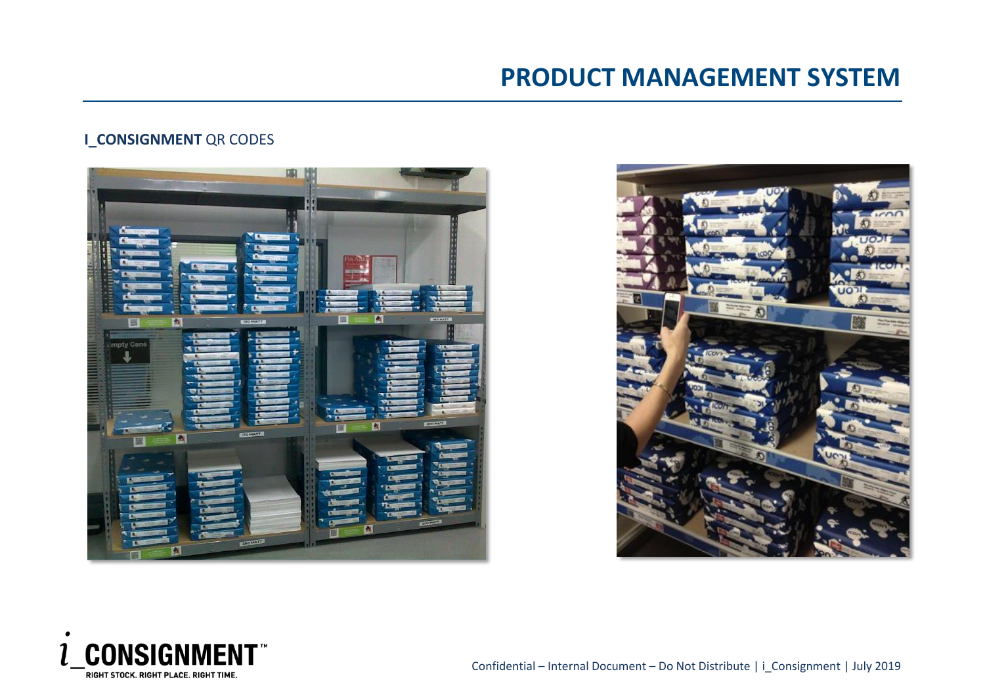## **I\_CONSIGNMENT** QR CODES





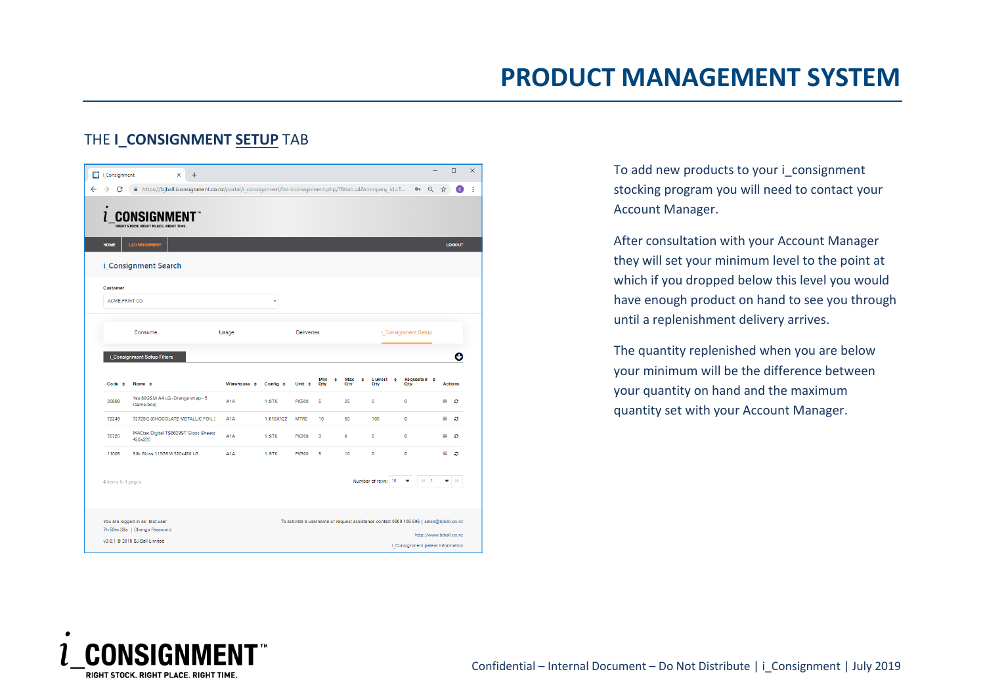### THE **I\_CONSIGNMENT SETUP** TAB

| <b>LOGOUT</b><br>i Consignment Setup             |
|--------------------------------------------------|
|                                                  |
|                                                  |
|                                                  |
|                                                  |
|                                                  |
|                                                  |
| c                                                |
|                                                  |
| Requested $\div$<br><b>Oty</b><br><b>Actions</b> |
| 髁<br>ø                                           |
|                                                  |
| ø<br>엻                                           |
| 용<br>c                                           |
| 盟<br>ø                                           |
|                                                  |

To add new products to your i\_consignment stocking program you will need to contact your Account Manager.

After consultation with your Account Manager they will set your minimum level to the point at which if you dropped below this level you would have enough product on hand to see you through until a replenishment delivery arrives.

The quantity replenished when you are below your minimum will be the difference between your quantity on hand and the maximum quantity set with your Account Manager.

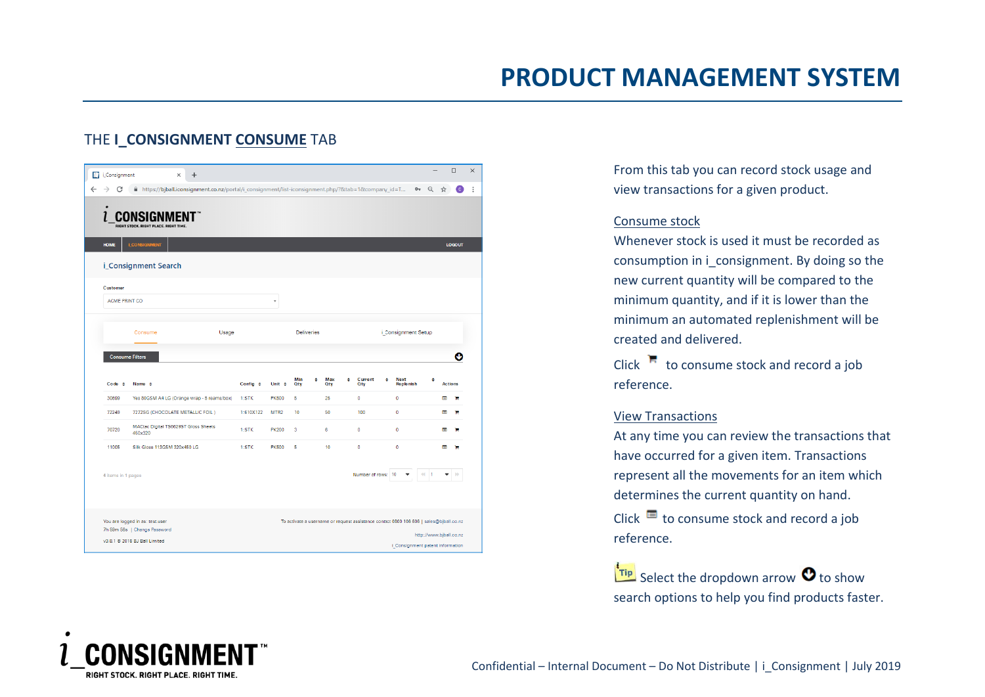## THE **I\_CONSIGNMENT CONSUME** TAB

| $\sqrt{ }$<br>i_Consignment | $\ddot{}$<br>$\times$                                                                                 |               |                  |                   |                                                                                        |   |                       |   |                          |                                        |                | $\Box$        |
|-----------------------------|-------------------------------------------------------------------------------------------------------|---------------|------------------|-------------------|----------------------------------------------------------------------------------------|---|-----------------------|---|--------------------------|----------------------------------------|----------------|---------------|
| $\rightarrow$<br>С          | film ttps://bjball.iconsignment.co.nz/portal/i_consignment/list-iconsignment.php/?&tab=1&company_id=T |               |                  |                   |                                                                                        |   |                       |   |                          | $\Theta$<br>$O_T$                      | ☆              | C.            |
|                             | RIGHT STOCK, RIGHT PLACE, RIGHT TIME.                                                                 |               |                  |                   |                                                                                        |   |                       |   |                          |                                        |                |               |
| <b>HOME</b>                 | <b>LCONSIGNMENT</b>                                                                                   |               |                  |                   |                                                                                        |   |                       |   |                          |                                        |                | <b>LOGOUT</b> |
|                             | i_Consignment Search                                                                                  |               |                  |                   |                                                                                        |   |                       |   |                          |                                        |                |               |
| <b>Customer</b>             |                                                                                                       |               |                  |                   |                                                                                        |   |                       |   |                          |                                        |                |               |
| ACME PRINT CO               |                                                                                                       |               |                  |                   |                                                                                        |   |                       |   |                          |                                        |                |               |
|                             | Consume<br>Usage                                                                                      |               |                  | <b>Deliveries</b> |                                                                                        |   |                       |   | i_Consignment Setup      |                                        |                |               |
|                             | <b>Consume Filters</b>                                                                                |               |                  |                   |                                                                                        |   |                       |   |                          |                                        |                | O             |
|                             |                                                                                                       |               |                  |                   |                                                                                        |   |                       |   |                          |                                        |                |               |
| $Code \div$                 | Name $\div$                                                                                           | Config $\div$ | Unit $\div$      | Min<br><b>Qty</b> | ٠<br><b>Max</b><br><b>Qty</b>                                                          | ٠ | Current<br><b>Qty</b> | ÷ | <b>Next</b><br>Replenish | ٠                                      | <b>Actions</b> |               |
| 30699                       | Yes 80GSM A4 LG (Orange wrap - 5 reams/box)                                                           | 1:STK         | <b>PK500</b>     | 6                 | 25                                                                                     |   | ۰                     |   | $\bullet$                |                                        |                |               |
| 72249                       | 7272SG (CHOCOLATE METALLIC FOIL)                                                                      | 1:610X122     | MTR <sub>2</sub> | 10 <sup>10</sup>  | 50                                                                                     |   | 100                   |   | $\mathbf 0$              |                                        | E              | ÷             |
| 70720                       | MACtac Digital TS6629ST Gloss Sheets<br>450x320                                                       | 1:STK         | <b>PK200</b>     | з                 | 6                                                                                      |   | $\circ$               |   | $\bullet$                |                                        |                |               |
|                             |                                                                                                       |               |                  |                   |                                                                                        |   |                       |   |                          |                                        |                |               |
| 11005                       | Silk Gloss 113GSM 320x450 LG                                                                          | 1:STK         | <b>PK500</b>     | 5                 | 10                                                                                     |   | $\bullet$             |   | $\mathbf{0}$             |                                        | E              |               |
| 4 items in 1 pages          |                                                                                                       |               |                  |                   |                                                                                        |   | Number of rows: 10    |   |                          | $\ddot{\phantom{a}}$<br>$\overline{1}$ |                |               |
|                             | You are logged in as: test.user<br>7h 59m 56s   Change Password                                       |               |                  |                   | To activate a username or request assistance contact 0800 106 606   sales@bjball.co.nz |   |                       |   |                          | http://www.bjball.co.nz                |                |               |

From this tab you can record stock usage and view transactions for a given product.

#### Consume stock

Whenever stock is used it must be recorded as consumption in i\_consignment. By doing so the new current quantity will be compared to the minimum quantity, and if it is lower than the minimum an automated replenishment will be created and delivered.

Click  $\blacksquare$  to consume stock and record a job reference.

#### View Transactions

At any time you can review the transactions that have occurred for a given item. Transactions represent all the movements for an item which determines the current quantity on hand.

Click  $\blacksquare$  to consume stock and record a job reference.

 $\frac{1}{\cdot}$  Select the dropdown arrow  $\bullet$  to show search options to help you find products faster.

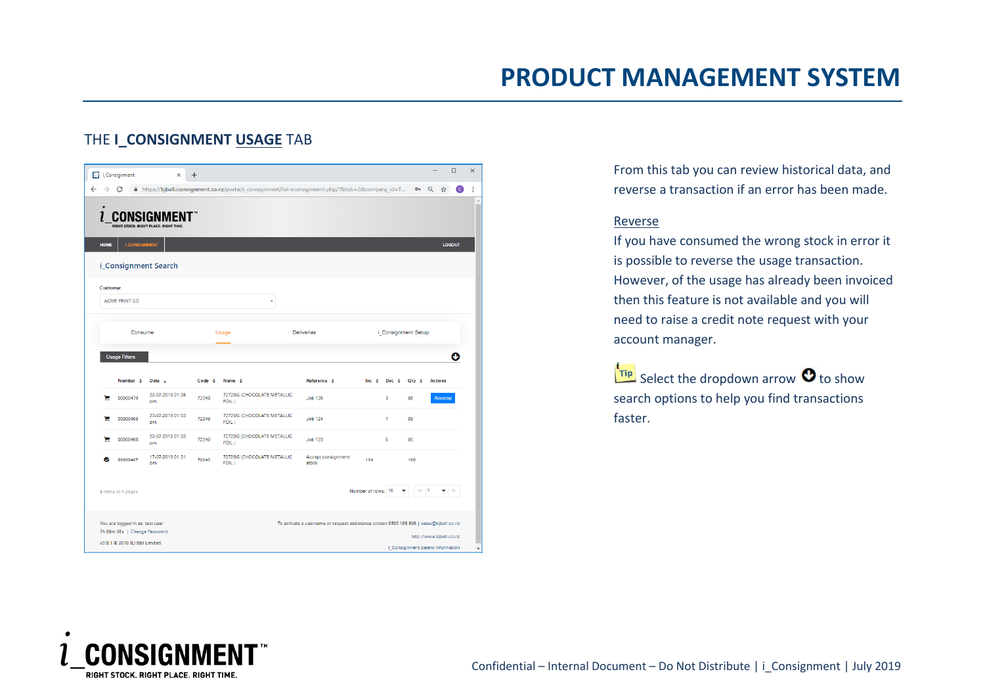|                 |                      | RIGHT STOCK. RIGHT PLACE. RIGHT TIME. |             |                                     |                             |              |                |                     |                |               |
|-----------------|----------------------|---------------------------------------|-------------|-------------------------------------|-----------------------------|--------------|----------------|---------------------|----------------|---------------|
| <b>HOME</b>     | <b>I_CONSIGNMENT</b> |                                       |             |                                     |                             |              |                |                     |                | <b>LOGOUT</b> |
|                 |                      | i_Consignment Search                  |             |                                     |                             |              |                |                     |                |               |
| <b>Customer</b> | ACME PRINT CO        |                                       |             | ÷                                   |                             |              |                |                     |                |               |
|                 | Consume              |                                       |             | <b>Usage</b>                        | <b>Deliveries</b>           |              |                | i_Consignment Setup |                |               |
|                 | <b>Usage Filters</b> |                                       |             |                                     |                             |              |                |                     |                | O             |
|                 | Number $\div$        | Date $\sim$                           | $Code \div$ | Name $\div$                         | Reference $\div$            | $Inc \oplus$ | Dec $\div$     | Oty $\div$          | <b>Actions</b> |               |
| ъ               | 00000470             | 23-07-2019 01:06<br><b>pm</b>         | 72249       | 7272SG (CHOCOLATE METALLIC<br>FOIL) | <b>Job 125</b>              |              | 3              | 85                  |                | Reverse       |
|                 | 00000469             | 23-07-2019 01:03<br>pm                | 72249       | 7272SG (CHOCOLATE METALLIC<br>FOIL) | <b>Job 124</b>              |              | $\overline{7}$ | 88                  |                |               |
| е               |                      | 23-07-2019 01:03<br>pm                | 72249       | 7272SG (CHOCOLATE METALLIC<br>FOIL) | <b>Job 123</b>              |              | 5              | 95                  |                |               |
| е               | 00000468             |                                       |             |                                     |                             |              |                |                     |                |               |
| ◎               | 00000467             | 17-07-2019 01:31<br>pm                | 72249       | 7272SG (CHOCOLATE METALLIC<br>FOIL) | Accept consignment<br>stock | 100          |                | 100                 |                |               |

## THE **I\_CONSIGNMENT USAGE** TAB

From this tab you can review historical data, and reverse a transaction if an error has been made.

#### Reverse

If you have consumed the wrong stock in error it is possible to reverse the usage transaction. However, of the usage has already been invoiced then this feature is not available and you will need to raise a credit note request with your account manager.

 $\frac{1}{\pi}$  Select the dropdown arrow  $\bullet$  to show search options to help you find transactions faster.